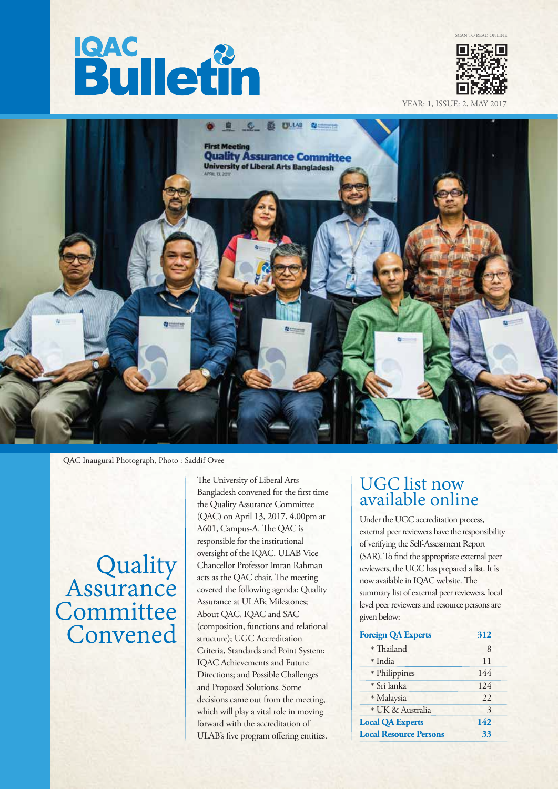# **Bulletin**



SCAN TO READ ONLINE

YEAR: 1, ISSUE: 2, MA



QAC Inaugural Photograph, Photo : Saddif Ovee

### Quality<br>Assurance Committee Convened

The University of Liberal Arts Bangladesh convened for the first time the Quality Assurance Committee (QAC) on April 13, 2017, 4.00pm at A601, Campus-A. The OAC is responsible for the institutional oversight of the IQAC. ULAB Vice Chancellor Professor Imran Rahman acts as the QAC chair. The meeting covered the following agenda: Quality Assurance at ULAB; Milestones; About QAC, IQAC and SAC (composition, functions and relational structure); UGC Accreditation Criteria, Standards and Point System; IQAC Achievements and Future Directions; and Possible Challenges and Proposed Solutions. Some decisions came out from the meeting, which will play a vital role in moving forward with the accreditation of ULAB's five program offering entities.

#### UGC list now available online

Under the UGC accreditation process, external peer reviewers have the responsibility of verifying the Self-Assessment Report (SAR). To find the appropriate external peer reviewers, the UGC has prepared a list. It is now available in IQAC website. The summary list of external peer reviewers, local level peer reviewers and resource persons are given below:

| <b>Foreign QA Experts</b>     | 312 |
|-------------------------------|-----|
| * Thailand                    | 8   |
| * India                       | 11  |
| * Philippines                 | 144 |
| * Sri lanka                   | 124 |
| * Malaysia                    | 22. |
| * UK & Australia              | 3   |
| <b>Local QA Experts</b>       | 142 |
| <b>Local Resource Persons</b> | 33  |